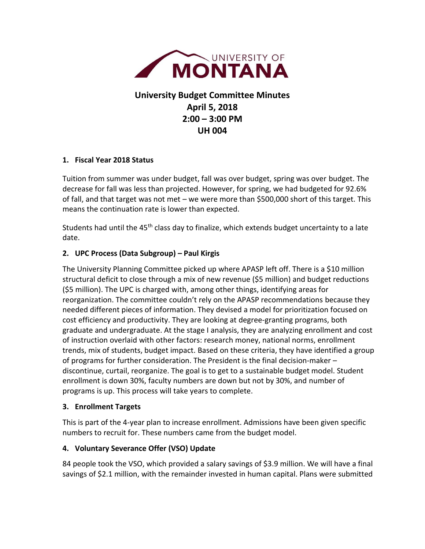

# **University Budget Committee Minutes April 5, 2018 2:00 – 3:00 PM UH 004**

#### **1. Fiscal Year 2018 Status**

Tuition from summer was under budget, fall was over budget, spring was over budget. The decrease for fall was less than projected. However, for spring, we had budgeted for 92.6% of fall, and that target was not met – we were more than \$500,000 short of this target. This means the continuation rate is lower than expected.

Students had until the 45<sup>th</sup> class day to finalize, which extends budget uncertainty to a late date.

### **2. UPC Process (Data Subgroup) – Paul Kirgis**

The University Planning Committee picked up where APASP left off. There is a \$10 million structural deficit to close through a mix of new revenue (\$5 million) and budget reductions (\$5 million). The UPC is charged with, among other things, identifying areas for reorganization. The committee couldn't rely on the APASP recommendations because they needed different pieces of information. They devised a model for prioritization focused on cost efficiency and productivity. They are looking at degree-granting programs, both graduate and undergraduate. At the stage I analysis, they are analyzing enrollment and cost of instruction overlaid with other factors: research money, national norms, enrollment trends, mix of students, budget impact. Based on these criteria, they have identified a group of programs for further consideration. The President is the final decision-maker – discontinue, curtail, reorganize. The goal is to get to a sustainable budget model. Student enrollment is down 30%, faculty numbers are down but not by 30%, and number of programs is up. This process will take years to complete.

#### **3. Enrollment Targets**

This is part of the 4-year plan to increase enrollment. Admissions have been given specific numbers to recruit for. These numbers came from the budget model.

#### **4. Voluntary Severance Offer (VSO) Update**

84 people took the VSO, which provided a salary savings of \$3.9 million. We will have a final savings of \$2.1 million, with the remainder invested in human capital. Plans were submitted